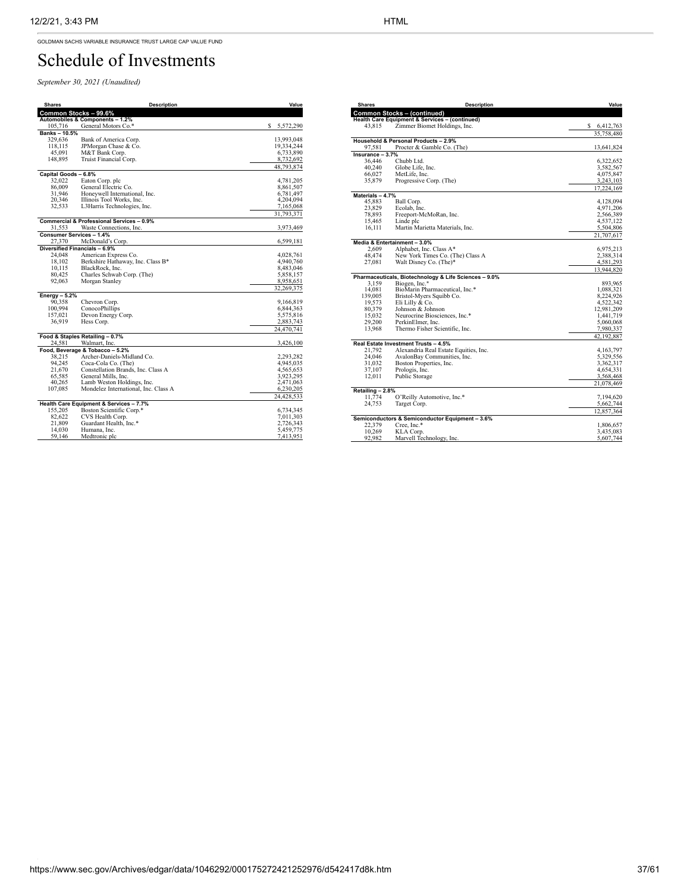GOLDMAN SACHS VARIABLE INSURANCE TRUST LARGE CAP VALUE FUND

## Schedule of Investments

*September 30, 2021 (Unaudited)*

| <b>Shares</b>        | <b>Description</b>                                   | Value          |
|----------------------|------------------------------------------------------|----------------|
|                      | Common Stocks - 99.6%                                |                |
|                      | Automobiles & Components - 1.2%                      |                |
| 105,716              | General Motors Co.*                                  | s<br>5,572,290 |
| Banks-10.5%          |                                                      |                |
| 329,636              | Bank of America Corp.                                | 13,993,048     |
| 118,115              | JPMorgan Chase & Co.                                 | 19,334,244     |
| 45,091               | M&T Bank Corp.                                       | 6,733,890      |
| 148,895              | Truist Financial Corp.                               | 8,732,692      |
|                      |                                                      | 48,793,874     |
| Capital Goods - 6.8% |                                                      |                |
| 32,022               | Eaton Corp. plc                                      | 4,781,205      |
| 86,009               | General Electric Co.                                 | 8,861,507      |
| 31,946               | Honeywell International, Inc.                        | 6,781,497      |
| 20,346               | Illinois Tool Works, Inc.                            | 4,204,094      |
| 32,533               | L3Harris Technologies, Inc.                          | 7,165,068      |
|                      |                                                      | 31,793,371     |
|                      | <b>Commercial &amp; Professional Services - 0.9%</b> |                |
| 31,553               | Waste Connections, Inc.                              | 3,973,469      |
|                      | Consumer Services - 1.4%                             |                |
| 27.370               | McDonald's Corp.                                     | 6,599,181      |
|                      | Diversified Financials - 6.9%                        |                |
| 24,048               | American Express Co.                                 | 4,028,761      |
| 18.102               | Berkshire Hathaway, Inc. Class B*                    | 4,940,760      |
| 10,115               | BlackRock, Inc.                                      | 8,483,046      |
| 80,425               | Charles Schwab Corp. (The)                           | 5,858,157      |
| 92,063               | Morgan Stanley                                       | 8,958,651      |
|                      |                                                      | 32,269,375     |
| Energy $-5.2%$       |                                                      |                |
| 90,358               | Chevron Corp.                                        | 9,166,819      |
| 100,994              | ConocoPhillips                                       | 6,844,363      |
| 157,021              | Devon Energy Corp.                                   | 5,575,816      |
| 36,919               | Hess Corp.                                           | 2,883,743      |
|                      |                                                      | 24,470,741     |
|                      | Food & Staples Retailing - 0.7%                      |                |
| 24,581               | Walmart, Inc.                                        | 3,426,100      |
|                      | Food, Beverage & Tobacco - 5.2%                      |                |
| 38.215               | Archer-Daniels-Midland Co.                           | 2,293,282      |
| 94,245               | Coca-Cola Co. (The)                                  | 4,945,035      |
| 21,670               | Constellation Brands, Inc. Class A                   | 4,565,653      |
| 65.585               | General Mills, Inc.                                  | 3,923,295      |
| 40,265               | Lamb Weston Holdings, Inc.                           | 2,471,063      |
| 107,085              | Mondelez International, Inc. Class A                 | 6,230,205      |
|                      |                                                      | 24,428,533     |
|                      | Health Care Equipment & Services - 7.7%              |                |
| 155,205              | Boston Scientific Corp.*                             | 6,734,345      |
| 82,622               | CVS Health Corp.                                     | 7,011,303      |
| 21,809               | Guardant Health, Inc.*                               | 2,726,343      |
| 14,030               | Humana, Inc.                                         | 5,459,775      |
| 59,146               | Medtronic plc                                        | 7,413,951      |

| <b>Shares</b>     | <b>Description</b>                                        | Value       |
|-------------------|-----------------------------------------------------------|-------------|
|                   | <b>Common Stocks - (continued)</b>                        |             |
|                   | <b>Health Care Equipment &amp; Services - (continued)</b> |             |
| 43,815            | Zimmer Biomet Holdings, Inc.                              | \$6,412,763 |
|                   |                                                           | 35,758,480  |
|                   | Household & Personal Products - 2.9%                      |             |
| 97.581            | Procter & Gamble Co. (The)                                | 13,641,824  |
| Insurance $-3.7%$ |                                                           |             |
| 36,446            | Chubb Ltd.                                                | 6,322,652   |
| 40,240            | Globe Life, Inc.                                          | 3,582,567   |
| 66,027            | MetLife, Inc.                                             | 4,075,847   |
| 35,879            | Progressive Corp. (The)                                   | 3,243,103   |
|                   |                                                           | 17,224,169  |
| Materials - 4.7%  |                                                           |             |
| 45,883            | Ball Corp.                                                | 4,128,094   |
| 23,829            | Ecolab. Inc.                                              | 4,971,206   |
| 78,893            | Freeport-McMoRan, Inc.                                    | 2,566,389   |
| 15.465            | Linde plc                                                 | 4,537,122   |
| 16,111            | Martin Marietta Materials, Inc.                           | 5,504,806   |
|                   |                                                           | 21,707,617  |
|                   | Media & Entertainment - 3.0%                              |             |
| 2.609             | Alphabet, Inc. Class A*                                   | 6,975,213   |
| 48,474            | New York Times Co. (The) Class A                          | 2,388,314   |
| 27,081            | Walt Disney Co. (The)*                                    | 4,581,293   |
|                   |                                                           | 13,944,820  |
|                   | Pharmaceuticals, Biotechnology & Life Sciences - 9.0%     |             |
| 3.159             | Biogen, Inc.*                                             | 893.965     |
| 14,081            | BioMarin Pharmaceutical, Inc.*                            | 1,088,321   |
| 139,005           | Bristol-Myers Squibb Co.                                  | 8,224,926   |
| 19,573            | Eli Lilly & Co.                                           | 4,522,342   |
| 80,379            | Johnson & Johnson                                         | 12,981,209  |
| 15,032            | Neurocrine Biosciences, Inc.*                             | 1,441,719   |
| 29,200            | PerkinElmer, Inc.                                         | 5,060,068   |
| 13,968            | Thermo Fisher Scientific, Inc.                            | 7,980,337   |
|                   |                                                           | 42,192,887  |
|                   | Real Estate Investment Trusts - 4.5%                      |             |
| 21.792            | Alexandria Real Estate Equities, Inc.                     | 4, 163, 797 |
| 24,046            | AvalonBay Communities, Inc.                               | 5,329,556   |
| 31.032            | Boston Properties, Inc.                                   | 3,362,317   |
| 37,107            | Prologis, Inc.                                            | 4,654,331   |
| 12,011            | Public Storage                                            | 3,568,468   |
|                   |                                                           | 21,078,469  |
| Retailing - 2.8%  |                                                           |             |
| 11,774            | O'Reilly Automotive, Inc.*                                | 7,194,620   |
| 24,753            | Target Corp.                                              | 5,662,744   |
|                   |                                                           | 12,857,364  |
|                   | Semiconductors & Semiconductor Equipment - 3.6%           |             |
| 22,379            | Cree, Inc.*                                               | 1,806,657   |
| 10,269            | KLA Corp.                                                 | 3,435,083   |
| 92.982            | Marvell Technology, Inc.                                  | 5,607,744   |